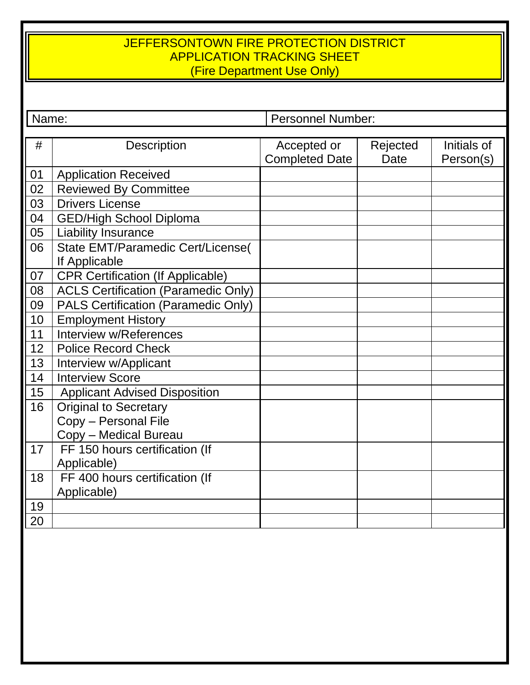#### JEFFERSONTOWN FIRE PROTECTION DISTRICT APPLICATION TRACKING SHEET (Fire Department Use Only)

Name: Personnel Number:

| #  | <b>Description</b>                         | Accepted or           | Rejected    | Initials of |
|----|--------------------------------------------|-----------------------|-------------|-------------|
|    |                                            | <b>Completed Date</b> | <b>Date</b> | Person(s)   |
| 01 | <b>Application Received</b>                |                       |             |             |
| 02 | <b>Reviewed By Committee</b>               |                       |             |             |
| 03 | <b>Drivers License</b>                     |                       |             |             |
| 04 | <b>GED/High School Diploma</b>             |                       |             |             |
| 05 | <b>Liability Insurance</b>                 |                       |             |             |
| 06 | State EMT/Paramedic Cert/License(          |                       |             |             |
|    | If Applicable                              |                       |             |             |
| 07 | <b>CPR Certification (If Applicable)</b>   |                       |             |             |
| 08 | <b>ACLS Certification (Paramedic Only)</b> |                       |             |             |
| 09 | PALS Certification (Paramedic Only)        |                       |             |             |
| 10 | <b>Employment History</b>                  |                       |             |             |
| 11 | Interview w/References                     |                       |             |             |
| 12 | <b>Police Record Check</b>                 |                       |             |             |
| 13 | Interview w/Applicant                      |                       |             |             |
| 14 | <b>Interview Score</b>                     |                       |             |             |
| 15 | <b>Applicant Advised Disposition</b>       |                       |             |             |
| 16 | <b>Original to Secretary</b>               |                       |             |             |
|    | Copy - Personal File                       |                       |             |             |
|    | Copy - Medical Bureau                      |                       |             |             |
| 17 | FF 150 hours certification (If             |                       |             |             |
|    | Applicable)                                |                       |             |             |
| 18 | FF 400 hours certification (If             |                       |             |             |
|    | Applicable)                                |                       |             |             |
| 19 |                                            |                       |             |             |
| 20 |                                            |                       |             |             |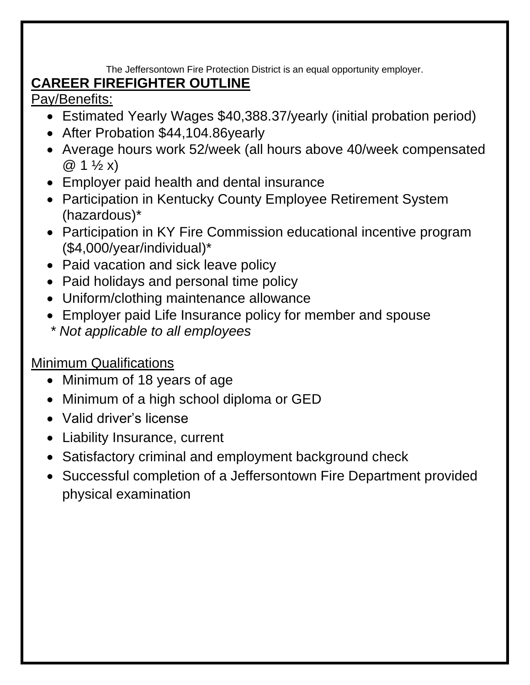The Jeffersontown Fire Protection District is an equal opportunity employer.

# **CAREER FIREFIGHTER OUTLINE**

Pay/Benefits:

- Estimated Yearly Wages \$40,388.37/yearly (initial probation period)
- After Probation \$44,104.86yearly
- Average hours work 52/week (all hours above 40/week compensated  $@ 1 \frac{1}{2} x)$
- Employer paid health and dental insurance
- Participation in Kentucky County Employee Retirement System (hazardous)\*
- Participation in KY Fire Commission educational incentive program (\$4,000/year/individual)\*
- Paid vacation and sick leave policy
- Paid holidays and personal time policy
- Uniform/clothing maintenance allowance
- Employer paid Life Insurance policy for member and spouse
- *\* Not applicable to all employees*

## Minimum Qualifications

- Minimum of 18 years of age
- Minimum of a high school diploma or GED
- Valid driver's license
- Liability Insurance, current
- Satisfactory criminal and employment background check
- Successful completion of a Jeffersontown Fire Department provided physical examination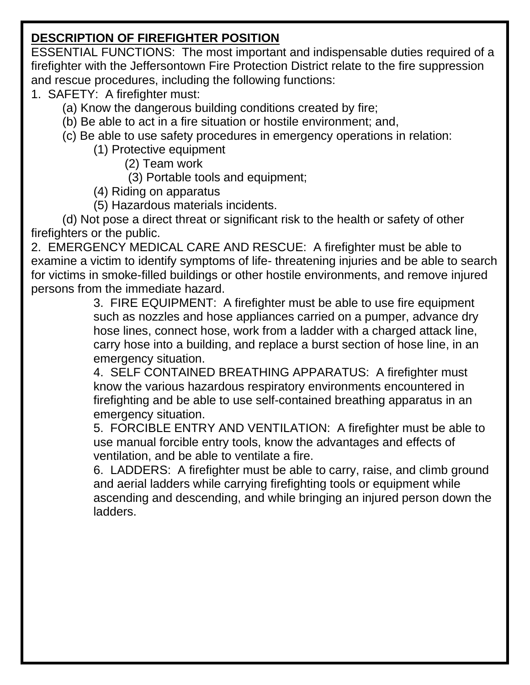## **DESCRIPTION OF FIREFIGHTER POSITION**

ESSENTIAL FUNCTIONS: The most important and indispensable duties required of a firefighter with the Jeffersontown Fire Protection District relate to the fire suppression and rescue procedures, including the following functions:

- 1. SAFETY: A firefighter must:
	- (a) Know the dangerous building conditions created by fire;
	- (b) Be able to act in a fire situation or hostile environment; and,
	- (c) Be able to use safety procedures in emergency operations in relation:
		- (1) Protective equipment

(2) Team work

(3) Portable tools and equipment;

- (4) Riding on apparatus
- (5) Hazardous materials incidents.

(d) Not pose a direct threat or significant risk to the health or safety of other firefighters or the public.

2. EMERGENCY MEDICAL CARE AND RESCUE: A firefighter must be able to examine a victim to identify symptoms of life- threatening injuries and be able to search for victims in smoke-filled buildings or other hostile environments, and remove injured persons from the immediate hazard.

3. FIRE EQUIPMENT: A firefighter must be able to use fire equipment such as nozzles and hose appliances carried on a pumper, advance dry hose lines, connect hose, work from a ladder with a charged attack line, carry hose into a building, and replace a burst section of hose line, in an emergency situation.

4. SELF CONTAINED BREATHING APPARATUS: A firefighter must know the various hazardous respiratory environments encountered in firefighting and be able to use self-contained breathing apparatus in an emergency situation.

5. FORCIBLE ENTRY AND VENTILATION: A firefighter must be able to use manual forcible entry tools, know the advantages and effects of ventilation, and be able to ventilate a fire.

6. LADDERS: A firefighter must be able to carry, raise, and climb ground and aerial ladders while carrying firefighting tools or equipment while ascending and descending, and while bringing an injured person down the ladders.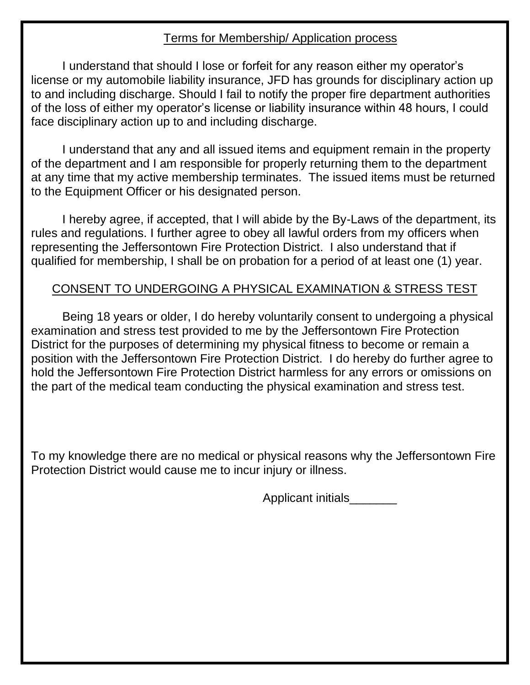#### Terms for Membership/ Application process

I understand that should I lose or forfeit for any reason either my operator's license or my automobile liability insurance, JFD has grounds for disciplinary action up to and including discharge. Should I fail to notify the proper fire department authorities of the loss of either my operator's license or liability insurance within 48 hours, I could face disciplinary action up to and including discharge.

I understand that any and all issued items and equipment remain in the property of the department and I am responsible for properly returning them to the department at any time that my active membership terminates. The issued items must be returned to the Equipment Officer or his designated person.

I hereby agree, if accepted, that I will abide by the By-Laws of the department, its rules and regulations. I further agree to obey all lawful orders from my officers when representing the Jeffersontown Fire Protection District. I also understand that if qualified for membership, I shall be on probation for a period of at least one (1) year.

#### CONSENT TO UNDERGOING A PHYSICAL EXAMINATION & STRESS TEST

Being 18 years or older, I do hereby voluntarily consent to undergoing a physical examination and stress test provided to me by the Jeffersontown Fire Protection District for the purposes of determining my physical fitness to become or remain a position with the Jeffersontown Fire Protection District. I do hereby do further agree to hold the Jeffersontown Fire Protection District harmless for any errors or omissions on the part of the medical team conducting the physical examination and stress test.

To my knowledge there are no medical or physical reasons why the Jeffersontown Fire Protection District would cause me to incur injury or illness.

Applicant initials\_\_\_\_\_\_\_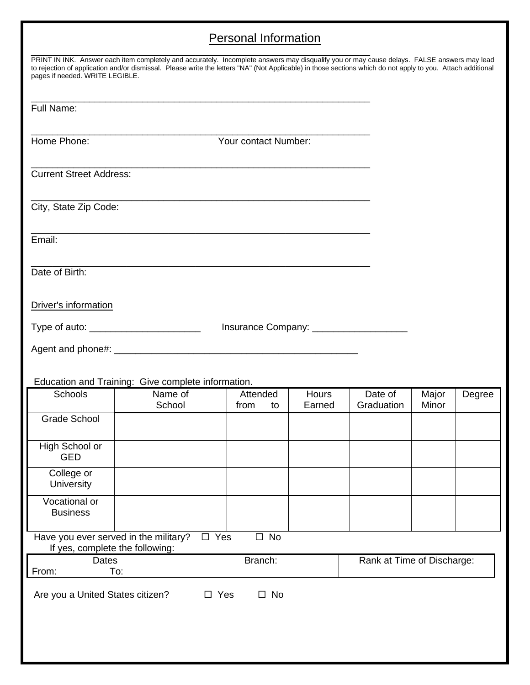## Personal Information

| PRINT IN INK. Answer each item completely and accurately. Incomplete answers may disqualify you or may cause delays. FALSE answers may lead<br>to rejection of application and/or dismissal. Please write the letters "NA" (Not Applicable) in those sections which do not apply to you. Attach additional<br>pages if needed. WRITE LEGIBLE. |                      |               |          |                                                                |              |                                           |       |        |
|-----------------------------------------------------------------------------------------------------------------------------------------------------------------------------------------------------------------------------------------------------------------------------------------------------------------------------------------------|----------------------|---------------|----------|----------------------------------------------------------------|--------------|-------------------------------------------|-------|--------|
| Full Name:                                                                                                                                                                                                                                                                                                                                    |                      |               |          |                                                                |              |                                           |       |        |
| Home Phone:                                                                                                                                                                                                                                                                                                                                   | Your contact Number: |               |          |                                                                |              |                                           |       |        |
| <b>Current Street Address:</b>                                                                                                                                                                                                                                                                                                                |                      |               |          | <u> 1989 - Johann Barbara, margaret eta idazlea (h. 1989).</u> |              |                                           |       |        |
| City, State Zip Code:                                                                                                                                                                                                                                                                                                                         |                      |               |          |                                                                |              |                                           |       |        |
| Email:                                                                                                                                                                                                                                                                                                                                        |                      |               |          |                                                                |              |                                           |       |        |
| Date of Birth:                                                                                                                                                                                                                                                                                                                                |                      |               |          |                                                                |              |                                           |       |        |
| Driver's information                                                                                                                                                                                                                                                                                                                          |                      |               |          |                                                                |              |                                           |       |        |
| Type of auto: _________________________                                                                                                                                                                                                                                                                                                       |                      |               |          |                                                                |              | Insurance Company: ______________________ |       |        |
|                                                                                                                                                                                                                                                                                                                                               |                      |               |          |                                                                |              |                                           |       |        |
| Education and Training: Give complete information.<br>Schools                                                                                                                                                                                                                                                                                 | Name of              |               | Attended |                                                                | <b>Hours</b> | Date of                                   | Major | Degree |
|                                                                                                                                                                                                                                                                                                                                               | School               |               | from     | to                                                             | Earned       | Graduation                                | Minor |        |
| <b>Grade School</b>                                                                                                                                                                                                                                                                                                                           |                      |               |          |                                                                |              |                                           |       |        |
| High School or<br><b>GED</b>                                                                                                                                                                                                                                                                                                                  |                      |               |          |                                                                |              |                                           |       |        |
| College or<br>University                                                                                                                                                                                                                                                                                                                      |                      |               |          |                                                                |              |                                           |       |        |
| Vocational or<br><b>Business</b>                                                                                                                                                                                                                                                                                                              |                      |               |          |                                                                |              |                                           |       |        |
| Have you ever served in the military?<br>If yes, complete the following:                                                                                                                                                                                                                                                                      |                      | $\square$ Yes |          | $\square$ No                                                   |              |                                           |       |        |
| Dates<br>To:<br>From:                                                                                                                                                                                                                                                                                                                         |                      |               | Branch:  |                                                                |              | Rank at Time of Discharge:                |       |        |
| $\square$ Yes<br>$\square$ No<br>Are you a United States citizen?                                                                                                                                                                                                                                                                             |                      |               |          |                                                                |              |                                           |       |        |
|                                                                                                                                                                                                                                                                                                                                               |                      |               |          |                                                                |              |                                           |       |        |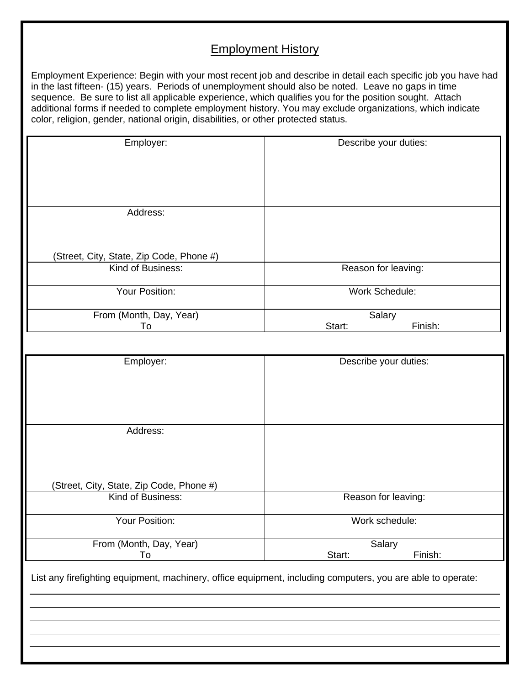#### Employment History

Employment Experience: Begin with your most recent job and describe in detail each specific job you have had in the last fifteen- (15) years. Periods of unemployment should also be noted. Leave no gaps in time sequence. Be sure to list all applicable experience, which qualifies you for the position sought. Attach additional forms if needed to complete employment history. You may exclude organizations, which indicate color, religion, gender, national origin, disabilities, or other protected status.

| Employer:                                                                                                   | Describe your duties: |
|-------------------------------------------------------------------------------------------------------------|-----------------------|
|                                                                                                             |                       |
|                                                                                                             |                       |
|                                                                                                             |                       |
|                                                                                                             |                       |
| Address:                                                                                                    |                       |
|                                                                                                             |                       |
|                                                                                                             |                       |
|                                                                                                             |                       |
| (Street, City, State, Zip Code, Phone #)<br>Kind of Business:                                               |                       |
|                                                                                                             | Reason for leaving:   |
| Your Position:                                                                                              | <b>Work Schedule:</b> |
|                                                                                                             |                       |
| From (Month, Day, Year)                                                                                     | Salary                |
| To                                                                                                          | Start:<br>Finish:     |
|                                                                                                             |                       |
| Employer:                                                                                                   | Describe your duties: |
|                                                                                                             |                       |
|                                                                                                             |                       |
|                                                                                                             |                       |
|                                                                                                             |                       |
|                                                                                                             |                       |
| Address:                                                                                                    |                       |
|                                                                                                             |                       |
|                                                                                                             |                       |
|                                                                                                             |                       |
| (Street, City, State, Zip Code, Phone #)                                                                    |                       |
| Kind of Business:                                                                                           | Reason for leaving:   |
|                                                                                                             |                       |
| Your Position:                                                                                              | Work schedule:        |
| From (Month, Day, Year)                                                                                     | Salary                |
| To                                                                                                          | Start:<br>Finish:     |
|                                                                                                             |                       |
| List any firefighting equipment, machinery, office equipment, including computers, you are able to operate: |                       |
|                                                                                                             |                       |
|                                                                                                             |                       |
|                                                                                                             |                       |
|                                                                                                             |                       |
|                                                                                                             |                       |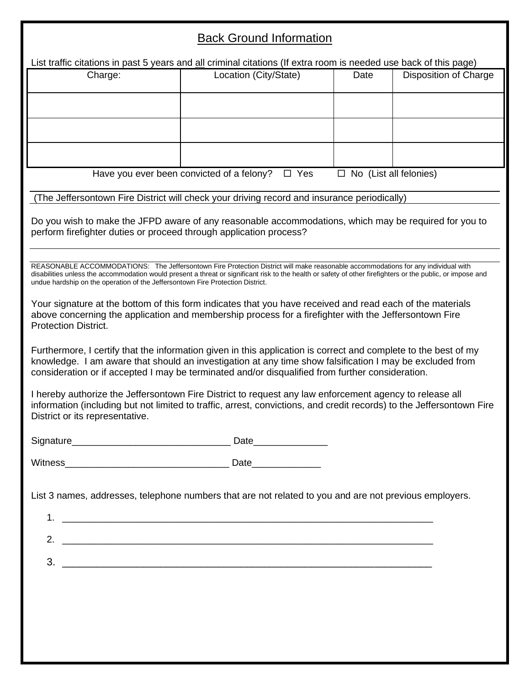## Back Ground Information

| Charge:                         | Location (City/State)                                                                                                                                                                                                                                                                            | Date                          | <b>Disposition of Charge</b> |
|---------------------------------|--------------------------------------------------------------------------------------------------------------------------------------------------------------------------------------------------------------------------------------------------------------------------------------------------|-------------------------------|------------------------------|
|                                 |                                                                                                                                                                                                                                                                                                  |                               |                              |
|                                 |                                                                                                                                                                                                                                                                                                  |                               |                              |
|                                 |                                                                                                                                                                                                                                                                                                  |                               |                              |
|                                 |                                                                                                                                                                                                                                                                                                  |                               |                              |
|                                 |                                                                                                                                                                                                                                                                                                  |                               |                              |
|                                 |                                                                                                                                                                                                                                                                                                  |                               |                              |
|                                 | Have you ever been convicted of a felony?<br>$\Box$ Yes                                                                                                                                                                                                                                          | $\Box$ No (List all felonies) |                              |
|                                 | (The Jeffersontown Fire District will check your driving record and insurance periodically)                                                                                                                                                                                                      |                               |                              |
|                                 |                                                                                                                                                                                                                                                                                                  |                               |                              |
|                                 | Do you wish to make the JFPD aware of any reasonable accommodations, which may be required for you to                                                                                                                                                                                            |                               |                              |
|                                 | perform firefighter duties or proceed through application process?                                                                                                                                                                                                                               |                               |                              |
|                                 |                                                                                                                                                                                                                                                                                                  |                               |                              |
|                                 | REASONABLE ACCOMMODATIONS: The Jeffersontown Fire Protection District will make reasonable accommodations for any individual with<br>disabilities unless the accommodation would present a threat or significant risk to the health or safety of other firefighters or the public, or impose and |                               |                              |
|                                 | undue hardship on the operation of the Jeffersontown Fire Protection District.                                                                                                                                                                                                                   |                               |                              |
|                                 | Your signature at the bottom of this form indicates that you have received and read each of the materials                                                                                                                                                                                        |                               |                              |
|                                 | above concerning the application and membership process for a firefighter with the Jeffersontown Fire                                                                                                                                                                                            |                               |                              |
| <b>Protection District.</b>     |                                                                                                                                                                                                                                                                                                  |                               |                              |
|                                 |                                                                                                                                                                                                                                                                                                  |                               |                              |
|                                 |                                                                                                                                                                                                                                                                                                  |                               |                              |
|                                 | Furthermore, I certify that the information given in this application is correct and complete to the best of my                                                                                                                                                                                  |                               |                              |
|                                 | knowledge. I am aware that should an investigation at any time show falsification I may be excluded from                                                                                                                                                                                         |                               |                              |
|                                 | consideration or if accepted I may be terminated and/or disqualified from further consideration.                                                                                                                                                                                                 |                               |                              |
|                                 | I hereby authorize the Jeffersontown Fire District to request any law enforcement agency to release all                                                                                                                                                                                          |                               |                              |
|                                 | information (including but not limited to traffic, arrest, convictions, and credit records) to the Jeffersontown Fire                                                                                                                                                                            |                               |                              |
|                                 |                                                                                                                                                                                                                                                                                                  |                               |                              |
|                                 |                                                                                                                                                                                                                                                                                                  |                               |                              |
|                                 |                                                                                                                                                                                                                                                                                                  |                               |                              |
|                                 |                                                                                                                                                                                                                                                                                                  |                               |                              |
|                                 |                                                                                                                                                                                                                                                                                                  |                               |                              |
|                                 | List 3 names, addresses, telephone numbers that are not related to you and are not previous employers.                                                                                                                                                                                           |                               |                              |
|                                 |                                                                                                                                                                                                                                                                                                  |                               |                              |
|                                 |                                                                                                                                                                                                                                                                                                  |                               |                              |
|                                 |                                                                                                                                                                                                                                                                                                  |                               |                              |
|                                 |                                                                                                                                                                                                                                                                                                  |                               |                              |
|                                 | $3.$ $\overline{\phantom{a}}$                                                                                                                                                                                                                                                                    |                               |                              |
|                                 |                                                                                                                                                                                                                                                                                                  |                               |                              |
|                                 |                                                                                                                                                                                                                                                                                                  |                               |                              |
|                                 |                                                                                                                                                                                                                                                                                                  |                               |                              |
| District or its representative. |                                                                                                                                                                                                                                                                                                  |                               |                              |